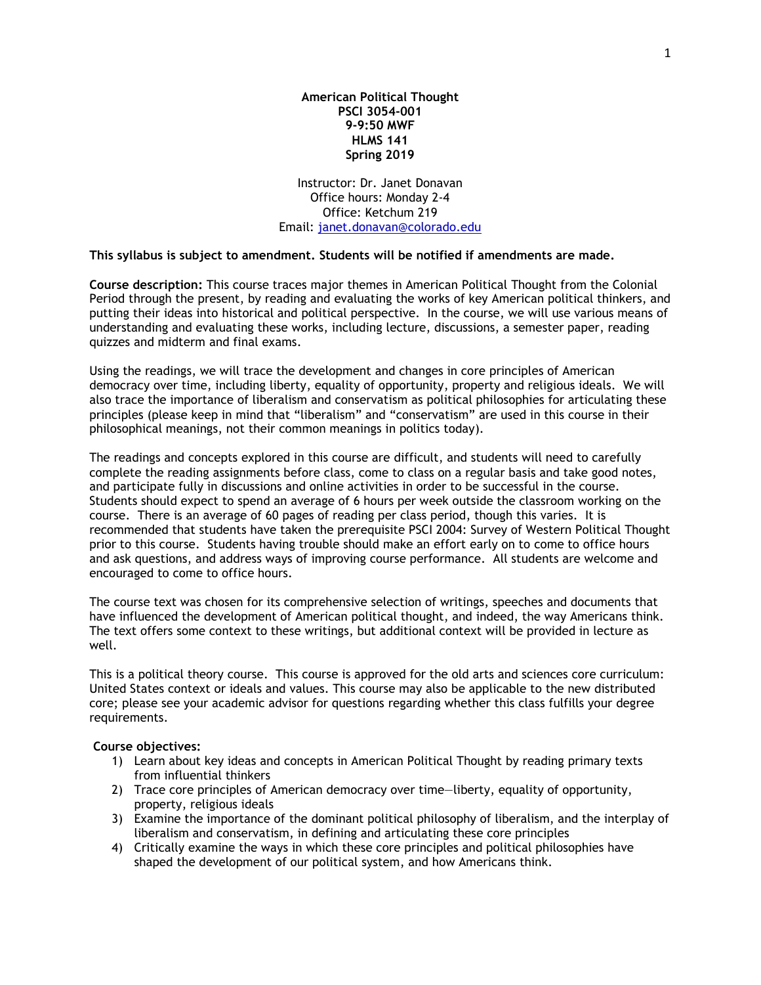**American Political Thought PSCI 3054-001 9-9:50 MWF HLMS 141 Spring 2019**

Instructor: Dr. Janet Donavan Office hours: Monday 2-4 Office: Ketchum 219 Email: [janet.donavan@colorado.edu](mailto:janet.donavan@colorado.edu)

## **This syllabus is subject to amendment. Students will be notified if amendments are made.**

**Course description:** This course traces major themes in American Political Thought from the Colonial Period through the present, by reading and evaluating the works of key American political thinkers, and putting their ideas into historical and political perspective. In the course, we will use various means of understanding and evaluating these works, including lecture, discussions, a semester paper, reading quizzes and midterm and final exams.

Using the readings, we will trace the development and changes in core principles of American democracy over time, including liberty, equality of opportunity, property and religious ideals. We will also trace the importance of liberalism and conservatism as political philosophies for articulating these principles (please keep in mind that "liberalism" and "conservatism" are used in this course in their philosophical meanings, not their common meanings in politics today).

The readings and concepts explored in this course are difficult, and students will need to carefully complete the reading assignments before class, come to class on a regular basis and take good notes, and participate fully in discussions and online activities in order to be successful in the course. Students should expect to spend an average of 6 hours per week outside the classroom working on the course. There is an average of 60 pages of reading per class period, though this varies. It is recommended that students have taken the prerequisite PSCI 2004: Survey of Western Political Thought prior to this course. Students having trouble should make an effort early on to come to office hours and ask questions, and address ways of improving course performance. All students are welcome and encouraged to come to office hours.

The course text was chosen for its comprehensive selection of writings, speeches and documents that have influenced the development of American political thought, and indeed, the way Americans think. The text offers some context to these writings, but additional context will be provided in lecture as well.

This is a political theory course. This course is approved for the old arts and sciences core curriculum: United States context or ideals and values. This course may also be applicable to the new distributed core; please see your academic advisor for questions regarding whether this class fulfills your degree requirements.

## **Course objectives:**

- 1) Learn about key ideas and concepts in American Political Thought by reading primary texts from influential thinkers
- 2) Trace core principles of American democracy over time—liberty, equality of opportunity, property, religious ideals
- 3) Examine the importance of the dominant political philosophy of liberalism, and the interplay of liberalism and conservatism, in defining and articulating these core principles
- 4) Critically examine the ways in which these core principles and political philosophies have shaped the development of our political system, and how Americans think.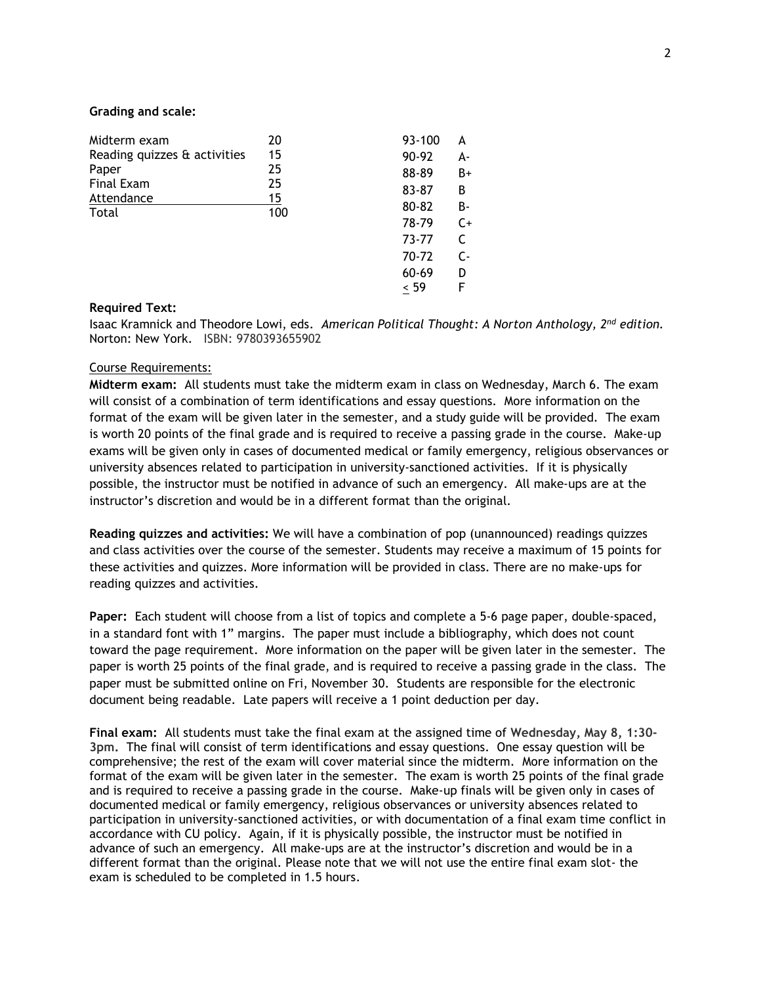# **Grading and scale:**

| Midterm exam                 | 20        |       | 93-100 | A     |
|------------------------------|-----------|-------|--------|-------|
| Reading quizzes & activities | 15        |       | 90-92  | А-    |
| Paper                        | 25        |       | 88-89  | $B+$  |
| Final Exam                   | 25        |       | 83-87  | В     |
| Attendance<br>Total          | 15<br>100 | 80-82 | В-     |       |
|                              |           | 78-79 | $C+$   |       |
|                              |           |       | 73-77  | C     |
|                              |           |       | 70-72  | $C -$ |
|                              |           | 60-69 | D      |       |
|                              |           |       | < 59   | F     |
|                              |           |       |        |       |

### **Required Text:**

Isaac Kramnick and Theodore Lowi, eds. *American Political Thought: A Norton Anthology, 2nd edition.* Norton: New York. ISBN: 9780393655902

# Course Requirements:

**Midterm exam:** All students must take the midterm exam in class on Wednesday, March 6. The exam will consist of a combination of term identifications and essay questions. More information on the format of the exam will be given later in the semester, and a study guide will be provided. The exam is worth 20 points of the final grade and is required to receive a passing grade in the course. Make-up exams will be given only in cases of documented medical or family emergency, religious observances or university absences related to participation in university-sanctioned activities. If it is physically possible, the instructor must be notified in advance of such an emergency. All make-ups are at the instructor's discretion and would be in a different format than the original.

**Reading quizzes and activities:** We will have a combination of pop (unannounced) readings quizzes and class activities over the course of the semester. Students may receive a maximum of 15 points for these activities and quizzes. More information will be provided in class. There are no make-ups for reading quizzes and activities.

**Paper:** Each student will choose from a list of topics and complete a 5-6 page paper, double-spaced, in a standard font with 1" margins. The paper must include a bibliography, which does not count toward the page requirement. More information on the paper will be given later in the semester. The paper is worth 25 points of the final grade, and is required to receive a passing grade in the class. The paper must be submitted online on Fri, November 30. Students are responsible for the electronic document being readable. Late papers will receive a 1 point deduction per day.

**Final exam:** All students must take the final exam at the assigned time of **Wednesday, May 8, 1:30- 3pm.** The final will consist of term identifications and essay questions. One essay question will be comprehensive; the rest of the exam will cover material since the midterm. More information on the format of the exam will be given later in the semester. The exam is worth 25 points of the final grade and is required to receive a passing grade in the course. Make-up finals will be given only in cases of documented medical or family emergency, religious observances or university absences related to participation in university-sanctioned activities, or with documentation of a final exam time conflict in accordance with CU policy. Again, if it is physically possible, the instructor must be notified in advance of such an emergency. All make-ups are at the instructor's discretion and would be in a different format than the original. Please note that we will not use the entire final exam slot- the exam is scheduled to be completed in 1.5 hours.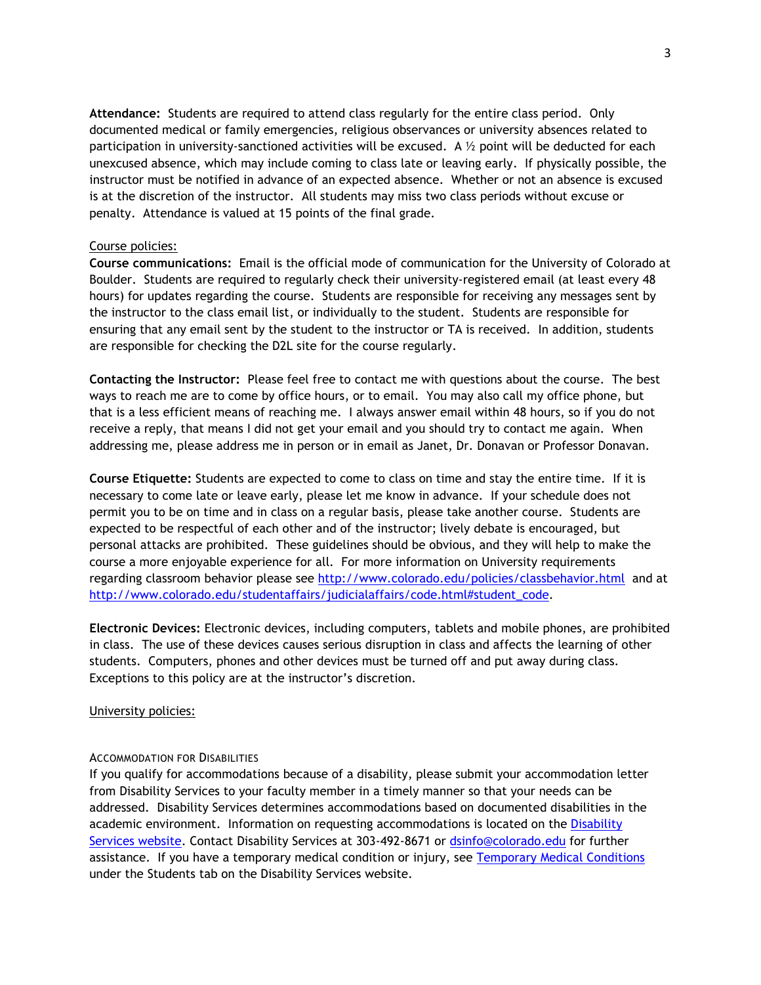**Attendance:** Students are required to attend class regularly for the entire class period. Only documented medical or family emergencies, religious observances or university absences related to participation in university-sanctioned activities will be excused. A  $\frac{1}{2}$  point will be deducted for each unexcused absence, which may include coming to class late or leaving early. If physically possible, the instructor must be notified in advance of an expected absence. Whether or not an absence is excused is at the discretion of the instructor. All students may miss two class periods without excuse or penalty. Attendance is valued at 15 points of the final grade.

## Course policies:

**Course communications:** Email is the official mode of communication for the University of Colorado at Boulder. Students are required to regularly check their university-registered email (at least every 48 hours) for updates regarding the course. Students are responsible for receiving any messages sent by the instructor to the class email list, or individually to the student. Students are responsible for ensuring that any email sent by the student to the instructor or TA is received. In addition, students are responsible for checking the D2L site for the course regularly.

**Contacting the Instructor:** Please feel free to contact me with questions about the course. The best ways to reach me are to come by office hours, or to email. You may also call my office phone, but that is a less efficient means of reaching me. I always answer email within 48 hours, so if you do not receive a reply, that means I did not get your email and you should try to contact me again. When addressing me, please address me in person or in email as Janet, Dr. Donavan or Professor Donavan.

**Course Etiquette:** Students are expected to come to class on time and stay the entire time. If it is necessary to come late or leave early, please let me know in advance. If your schedule does not permit you to be on time and in class on a regular basis, please take another course. Students are expected to be respectful of each other and of the instructor; lively debate is encouraged, but personal attacks are prohibited. These guidelines should be obvious, and they will help to make the course a more enjoyable experience for all. For more information on University requirements regarding classroom behavior please see<http://www.colorado.edu/policies/classbehavior.html> and at [http://www.colorado.edu/studentaffairs/judicialaffairs/code.html#student\\_code.](http://www.colorado.edu/studentaffairs/judicialaffairs/code.html#student_code)

**Electronic Devices:** Electronic devices, including computers, tablets and mobile phones, are prohibited in class. The use of these devices causes serious disruption in class and affects the learning of other students. Computers, phones and other devices must be turned off and put away during class. Exceptions to this policy are at the instructor's discretion.

## University policies:

## ACCOMMODATION FOR DISABILITIES

If you qualify for accommodations because of a disability, please submit your accommodation letter from Disability Services to your faculty member in a timely manner so that your needs can be addressed. Disability Services determines accommodations based on documented disabilities in the academic environment. Information on requesting accommodations is located on the [Disability](http://www.colorado.edu/disabilityservices/students)  [Services website.](http://www.colorado.edu/disabilityservices/students) Contact Disability Services at 303-492-8671 or [dsinfo@colorado.edu](mailto:dsinfo@colorado.edu) for further assistance. If you have a temporary medical condition or injury, see [Temporary Medical Conditions](http://www.colorado.edu/disabilityservices/students/temporary-medical-conditions) under the Students tab on the Disability Services website.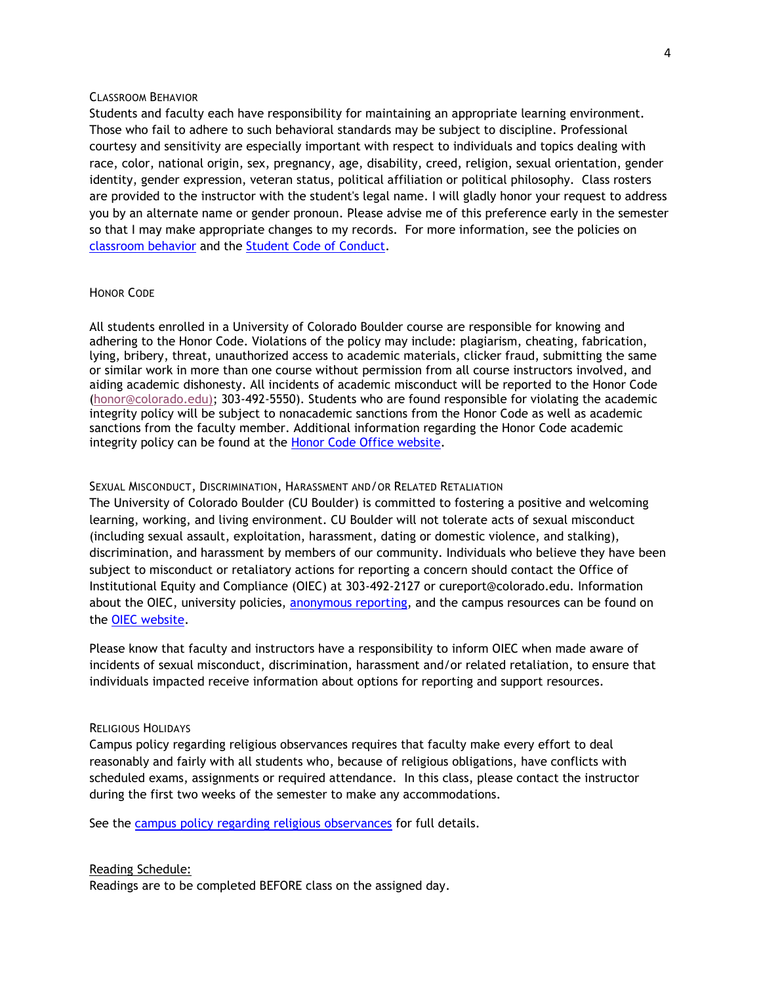## CLASSROOM BEHAVIOR

Students and faculty each have responsibility for maintaining an appropriate learning environment. Those who fail to adhere to such behavioral standards may be subject to discipline. Professional courtesy and sensitivity are especially important with respect to individuals and topics dealing with race, color, national origin, sex, pregnancy, age, disability, creed, religion, sexual orientation, gender identity, gender expression, veteran status, political affiliation or political philosophy. Class rosters are provided to the instructor with the student's legal name. I will gladly honor your request to address you by an alternate name or gender pronoun. Please advise me of this preference early in the semester so that I may make appropriate changes to my records. For more information, see the policies on [classroom behavior](http://www.colorado.edu/policies/student-classroom-and-course-related-behavior) and the [Student Code of Conduct.](http://www.colorado.edu/osccr/)

# HONOR CODE

All students enrolled in a University of Colorado Boulder course are responsible for knowing and adhering to the Honor Code. Violations of the policy may include: plagiarism, cheating, fabrication, lying, bribery, threat, unauthorized access to academic materials, clicker fraud, submitting the same or similar work in more than one course without permission from all course instructors involved, and aiding academic dishonesty. All incidents of academic misconduct will be reported to the Honor Code [\(honor@colorado.edu\)](mailto:honor@colorado.edu); 303-492-5550). Students who are found responsible for violating the academic integrity policy will be subject to nonacademic sanctions from the Honor Code as well as academic sanctions from the faculty member. Additional information regarding the Honor Code academic integrity policy can be found at the [Honor Code Office website.](https://www.colorado.edu/osccr/honor-code)

## SEXUAL MISCONDUCT, DISCRIMINATION, HARASSMENT AND/OR RELATED RETALIATION

The University of Colorado Boulder (CU Boulder) is committed to fostering a positive and welcoming learning, working, and living environment. CU Boulder will not tolerate acts of sexual misconduct (including sexual assault, exploitation, harassment, dating or domestic violence, and stalking), discrimination, and harassment by members of our community. Individuals who believe they have been subject to misconduct or retaliatory actions for reporting a concern should contact the Office of Institutional Equity and Compliance (OIEC) at 303-492-2127 or cureport@colorado.edu. Information about the OIEC, university policies, [anonymous reporting,](https://cuboulder.qualtrics.com/jfe/form/SV_0PnqVK4kkIJIZnf) and the campus resources can be found on the [OIEC website.](http://www.colorado.edu/institutionalequity/)

Please know that faculty and instructors have a responsibility to inform OIEC when made aware of incidents of sexual misconduct, discrimination, harassment and/or related retaliation, to ensure that individuals impacted receive information about options for reporting and support resources.

#### RELIGIOUS HOLIDAYS

Campus policy regarding religious observances requires that faculty make every effort to deal reasonably and fairly with all students who, because of religious obligations, have conflicts with scheduled exams, assignments or required attendance. In this class, please contact the instructor during the first two weeks of the semester to make any accommodations.

See the [campus policy regarding religious observances](http://www.colorado.edu/policies/observance-religious-holidays-and-absences-classes-andor-exams) for full details.

#### Reading Schedule:

Readings are to be completed BEFORE class on the assigned day.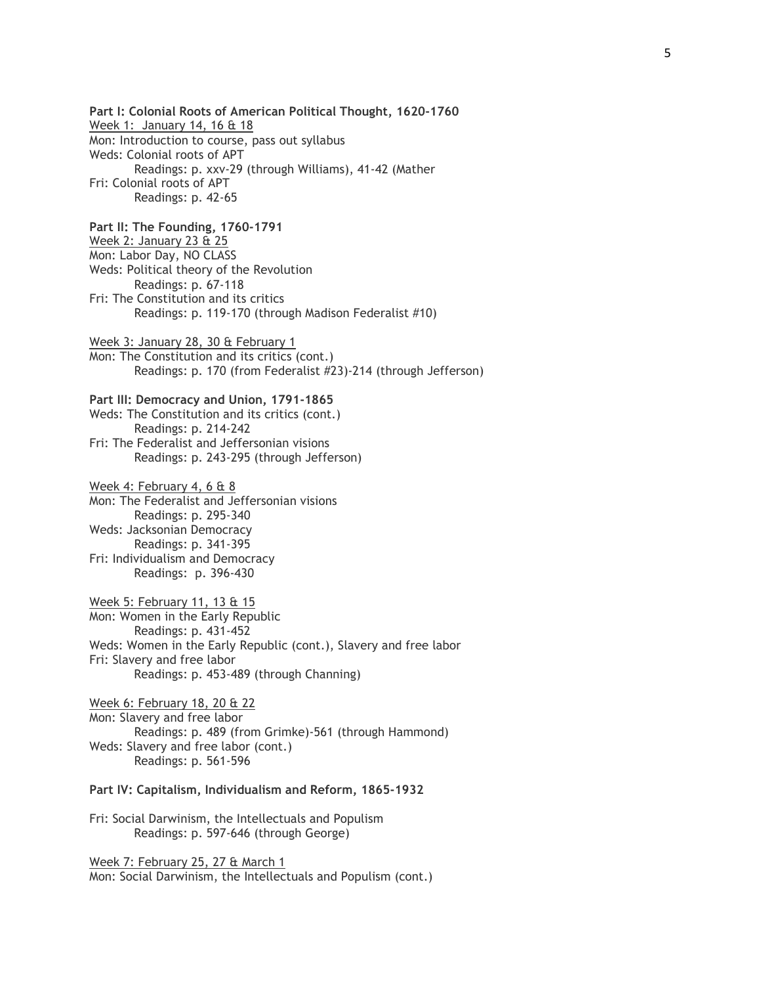**Part I: Colonial Roots of American Political Thought, 1620-1760** Week 1: January 14, 16 & 18 Mon: Introduction to course, pass out syllabus Weds: Colonial roots of APT Readings: p. xxv-29 (through Williams), 41-42 (Mather Fri: Colonial roots of APT Readings: p. 42-65 **Part II: The Founding, 1760-1791** Week 2: January 23 & 25 Mon: Labor Day, NO CLASS Weds: Political theory of the Revolution Readings: p. 67-118 Fri: The Constitution and its critics Readings: p. 119-170 (through Madison Federalist #10) Week 3: January 28, 30 & February 1 Mon: The Constitution and its critics (cont.) Readings: p. 170 (from Federalist #23)-214 (through Jefferson) **Part III: Democracy and Union, 1791-1865** Weds: The Constitution and its critics (cont.) Readings: p. 214-242 Fri: The Federalist and Jeffersonian visions Readings: p. 243-295 (through Jefferson) Week 4: February 4, 6 & 8 Mon: The Federalist and Jeffersonian visions Readings: p. 295-340 Weds: Jacksonian Democracy Readings: p. 341-395 Fri: Individualism and Democracy Readings: p. 396-430 Week 5: February 11, 13 & 15 Mon: Women in the Early Republic Readings: p. 431-452 Weds: Women in the Early Republic (cont.), Slavery and free labor Fri: Slavery and free labor Readings: p. 453-489 (through Channing) Week 6: February 18, 20 & 22 Mon: Slavery and free labor Readings: p. 489 (from Grimke)-561 (through Hammond) Weds: Slavery and free labor (cont.) Readings: p. 561-596 **Part IV: Capitalism, Individualism and Reform, 1865-1932** Fri: Social Darwinism, the Intellectuals and Populism Readings: p. 597-646 (through George) Week 7: February 25, 27 & March 1

Mon: Social Darwinism, the Intellectuals and Populism (cont.)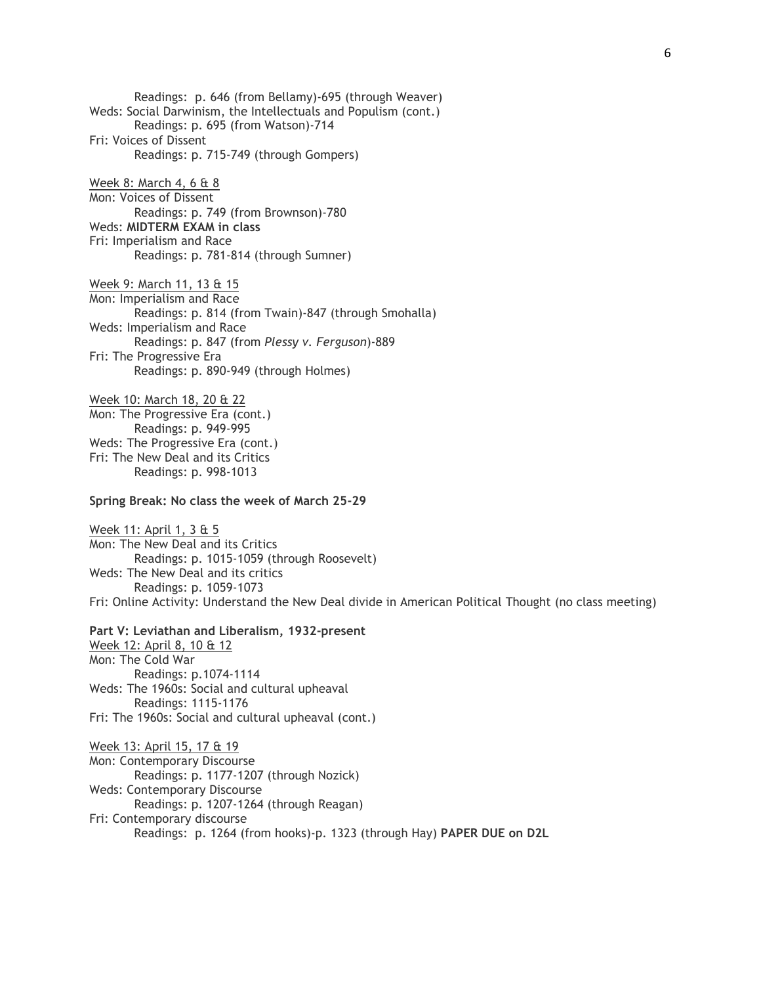Readings: p. 646 (from Bellamy)-695 (through Weaver) Weds: Social Darwinism, the Intellectuals and Populism (cont.) Readings: p. 695 (from Watson)-714 Fri: Voices of Dissent Readings: p. 715-749 (through Gompers) Week 8: March 4, 6 & 8 Mon: Voices of Dissent Readings: p. 749 (from Brownson)-780

Weds: **MIDTERM EXAM in class** Fri: Imperialism and Race Readings: p. 781-814 (through Sumner)

Week 9: March 11, 13 & 15 Mon: Imperialism and Race Readings: p. 814 (from Twain)-847 (through Smohalla) Weds: Imperialism and Race Readings: p. 847 (from *Plessy v. Ferguson*)-889 Fri: The Progressive Era Readings: p. 890-949 (through Holmes)

Week 10: March 18, 20 & 22 Mon: The Progressive Era (cont.) Readings: p. 949-995 Weds: The Progressive Era (cont.) Fri: The New Deal and its Critics Readings: p. 998-1013

## **Spring Break: No class the week of March 25-29**

Week 11: April 1, 3 & 5 Mon: The New Deal and its Critics Readings: p. 1015-1059 (through Roosevelt) Weds: The New Deal and its critics Readings: p. 1059-1073 Fri: Online Activity: Understand the New Deal divide in American Political Thought (no class meeting)

### **Part V: Leviathan and Liberalism, 1932-present**

Week 12: April 8, 10 & 12 Mon: The Cold War Readings: p.1074-1114 Weds: The 1960s: Social and cultural upheaval Readings: 1115-1176 Fri: The 1960s: Social and cultural upheaval (cont.)

Week 13: April 15, 17 & 19 Mon: Contemporary Discourse Readings: p. 1177-1207 (through Nozick) Weds: Contemporary Discourse Readings: p. 1207-1264 (through Reagan) Fri: Contemporary discourse Readings: p. 1264 (from hooks)-p. 1323 (through Hay) **PAPER DUE on D2L**